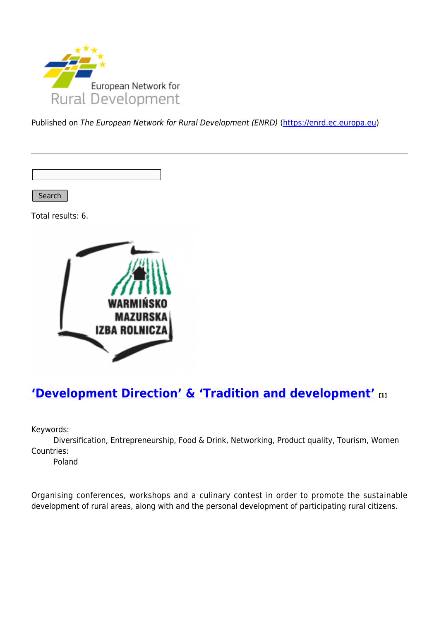

Published on The European Network for Rural Development (ENRD) [\(https://enrd.ec.europa.eu](https://enrd.ec.europa.eu))

Search

Total results: 6.



### **['Development Direction' & 'Tradition and development'](https://enrd.ec.europa.eu/projects-practice/development-direction-tradition-and-development_en) [1]**

Keywords:

Diversification, Entrepreneurship, Food & Drink, Networking, Product quality, Tourism, Women Countries:

Poland

Organising conferences, workshops and a culinary contest in order to promote the sustainable development of rural areas, along with and the personal development of participating rural citizens.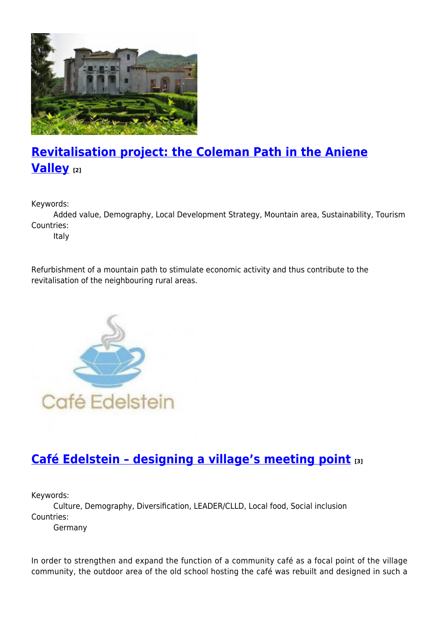

# **[Revitalisation project: the Coleman Path in the Aniene](https://enrd.ec.europa.eu/projects-practice/revitalisation-project-coleman-path-aniene-valley_en) [Valley](https://enrd.ec.europa.eu/projects-practice/revitalisation-project-coleman-path-aniene-valley_en) [2]**

Keywords:

Added value, Demography, Local Development Strategy, Mountain area, Sustainability, Tourism Countries:

Italy

Refurbishment of a mountain path to stimulate economic activity and thus contribute to the revitalisation of the neighbouring rural areas.



## **[Café Edelstein – designing a village's meeting point](https://enrd.ec.europa.eu/projects-practice/cafe-edelstein-designing-villages-meeting-point_en) [3]**

Keywords:

Culture, Demography, Diversification, LEADER/CLLD, Local food, Social inclusion Countries:

Germany

In order to strengthen and expand the function of a community café as a focal point of the village community, the outdoor area of the old school hosting the café was rebuilt and designed in such a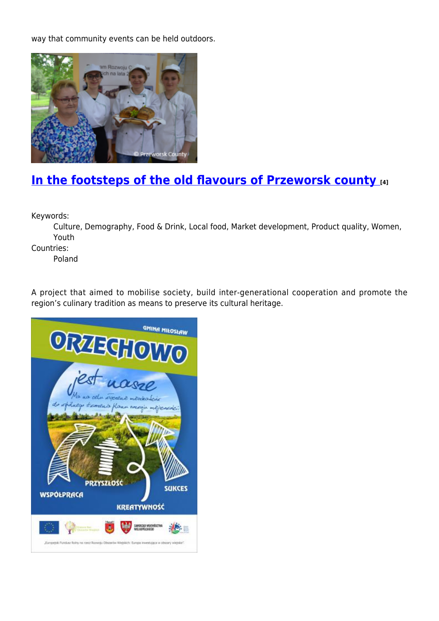way that community events can be held outdoors.



## **[In the footsteps of the old flavours of Przeworsk county](https://enrd.ec.europa.eu/projects-practice/footsteps-old-flavours-przeworsk-county_en) [4]**

Keywords:

Culture, Demography, Food & Drink, Local food, Market development, Product quality, Women, Youth

Countries:

Poland

A project that aimed to mobilise society, build inter-generational cooperation and promote the region's culinary tradition as means to preserve its cultural heritage.

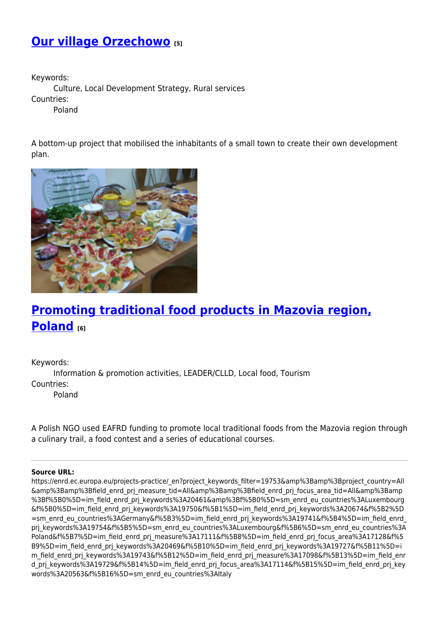### **[Our village Orzechowo](https://enrd.ec.europa.eu/projects-practice/our-village-orzechowo_en) [5]**

Keywords:

Culture, Local Development Strategy, Rural services

Countries:

Poland

A bottom-up project that mobilised the inhabitants of a small town to create their own development plan.



## **[Promoting traditional food products in Mazovia region,](https://enrd.ec.europa.eu/projects-practice/promoting-traditional-food-products-mazovia-region-poland_en) [Poland](https://enrd.ec.europa.eu/projects-practice/promoting-traditional-food-products-mazovia-region-poland_en) [6]**

Keywords: Information & promotion activities, LEADER/CLLD, Local food, Tourism Countries: Poland

A Polish NGO used EAFRD funding to promote local traditional foods from the Mazovia region through a culinary trail, a food contest and a series of educational courses.

#### **Source URL:**

https://enrd.ec.europa.eu/projects-practice/\_en?project\_keywords\_filter=19753&amp%3Bamp%3Bproject\_country=All &amp%3Bamp%3Bfield\_enrd\_prj\_measure\_tid=All&amp%3Bamp%3Bfield\_enrd\_prj\_focus\_area\_tid=All&amp%3Bamp %3Bf%5B0%5D=im\_field\_enrd\_prj\_keywords%3A20461&amp%3Bf%5B0%5D=sm\_enrd\_eu\_countries%3ALuxembourg &f%5B0%5D=im\_field\_enrd\_prj\_keywords%3A19750&f%5B1%5D=im\_field\_enrd\_prj\_keywords%3A20674&f%5B2%5D =sm\_enrd\_eu\_countries%3AGermany&f%5B3%5D=im\_field\_enrd\_prj\_keywords%3A19741&f%5B4%5D=im\_field\_enrd prj keywords%3A19754&f%5B5%5D=sm\_enrd\_eu\_countries%3ALuxembourg&f%5B6%5D=sm\_enrd\_eu\_countries%3A Poland&f%5B7%5D=im\_field\_enrd\_prj\_measure%3A17111&f%5B8%5D=im\_field\_enrd\_prj\_focus\_area%3A17128&f%5 B9%5D=im\_field\_enrd\_prj\_keywords%3A20469&f%5B10%5D=im\_field\_enrd\_prj\_keywords%3A19727&f%5B11%5D=i m\_field\_enrd\_prj\_keywords%3A19743&f%5B12%5D=im\_field\_enrd\_prj\_measure%3A17098&f%5B13%5D=im\_field\_enr d prj keywords%3A19729&f%5B14%5D=im field enrd prj focus area%3A17114&f%5B15%5D=im field enrd prj key words%3A20563&f%5B16%5D=sm\_enrd\_eu\_countries%3AItaly